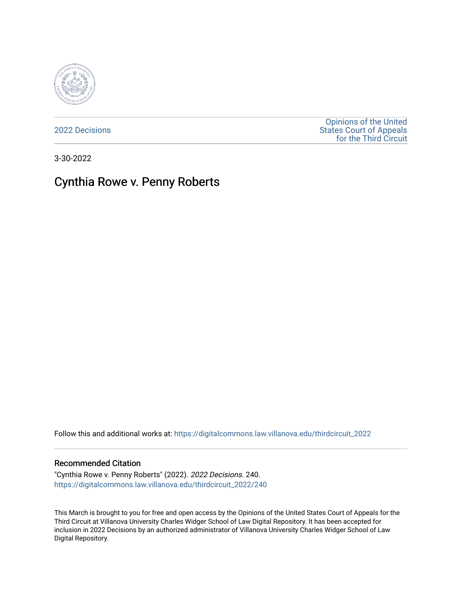

[2022 Decisions](https://digitalcommons.law.villanova.edu/thirdcircuit_2022)

[Opinions of the United](https://digitalcommons.law.villanova.edu/thirdcircuit)  [States Court of Appeals](https://digitalcommons.law.villanova.edu/thirdcircuit)  [for the Third Circuit](https://digitalcommons.law.villanova.edu/thirdcircuit) 

3-30-2022

# Cynthia Rowe v. Penny Roberts

Follow this and additional works at: [https://digitalcommons.law.villanova.edu/thirdcircuit\\_2022](https://digitalcommons.law.villanova.edu/thirdcircuit_2022?utm_source=digitalcommons.law.villanova.edu%2Fthirdcircuit_2022%2F240&utm_medium=PDF&utm_campaign=PDFCoverPages) 

#### Recommended Citation

"Cynthia Rowe v. Penny Roberts" (2022). 2022 Decisions. 240. [https://digitalcommons.law.villanova.edu/thirdcircuit\\_2022/240](https://digitalcommons.law.villanova.edu/thirdcircuit_2022/240?utm_source=digitalcommons.law.villanova.edu%2Fthirdcircuit_2022%2F240&utm_medium=PDF&utm_campaign=PDFCoverPages)

This March is brought to you for free and open access by the Opinions of the United States Court of Appeals for the Third Circuit at Villanova University Charles Widger School of Law Digital Repository. It has been accepted for inclusion in 2022 Decisions by an authorized administrator of Villanova University Charles Widger School of Law Digital Repository.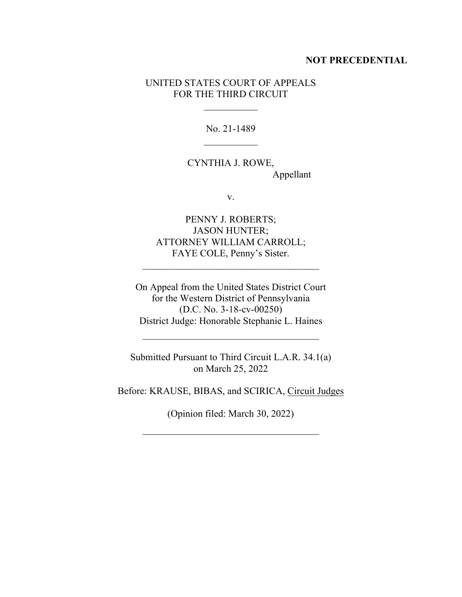#### **NOT PRECEDENTIAL**

### UNITED STATES COURT OF APPEALS FOR THE THIRD CIRCUIT

 $\frac{1}{2}$ 

No. 21-1489  $\frac{1}{2}$ 

CYNTHIA J. ROWE, Appellant

v.

PENNY J. ROBERTS; JASON HUNTER; ATTORNEY WILLIAM CARROLL; FAYE COLE, Penny's Sister.

\_\_\_\_\_\_\_\_\_\_\_\_\_\_\_\_\_\_\_\_\_\_\_\_\_\_\_\_\_\_\_\_\_\_\_\_

On Appeal from the United States District Court for the Western District of Pennsylvania (D.C. No. 3-18-cv-00250) District Judge: Honorable Stephanie L. Haines

Submitted Pursuant to Third Circuit L.A.R. 34.1(a) on March 25, 2022

\_\_\_\_\_\_\_\_\_\_\_\_\_\_\_\_\_\_\_\_\_\_\_\_\_\_\_\_\_\_\_\_\_\_\_\_

Before: KRAUSE, BIBAS, and SCIRICA, Circuit Judges

(Opinion filed: March 30, 2022)

 $\mathcal{L}_\text{max}$  and  $\mathcal{L}_\text{max}$  and  $\mathcal{L}_\text{max}$  and  $\mathcal{L}_\text{max}$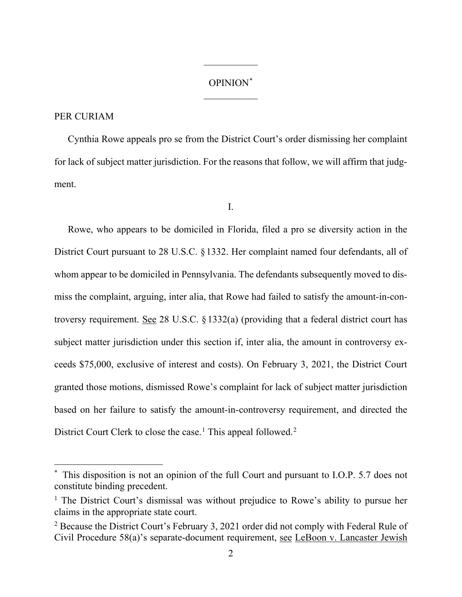## OPINION\*  $\frac{1}{2}$

 $\frac{1}{2}$ 

## PER CURIAM

Cynthia Rowe appeals pro se from the District Court's order dismissing her complaint for lack of subject matter jurisdiction. For the reasons that follow, we will affirm that judgment.

I.

Rowe, who appears to be domiciled in Florida, filed a pro se diversity action in the District Court pursuant to 28 U.S.C. §1332. Her complaint named four defendants, all of whom appear to be domiciled in Pennsylvania. The defendants subsequently moved to dismiss the complaint, arguing, inter alia, that Rowe had failed to satisfy the amount-in-controversy requirement. See 28 U.S.C. §1332(a) (providing that a federal district court has subject matter jurisdiction under this section if, inter alia, the amount in controversy exceeds \$75,000, exclusive of interest and costs). On February 3, 2021, the District Court granted those motions, dismissed Rowe's complaint for lack of subject matter jurisdiction based on her failure to satisfy the amount-in-controversy requirement, and directed the District Court Clerk to close the case.<sup>1</sup> This appeal followed.<sup>2</sup>

This disposition is not an opinion of the full Court and pursuant to I.O.P. 5.7 does not constitute binding precedent.

<sup>&</sup>lt;sup>1</sup> The District Court's dismissal was without prejudice to Rowe's ability to pursue her claims in the appropriate state court.

<sup>&</sup>lt;sup>2</sup> Because the District Court's February 3, 2021 order did not comply with Federal Rule of Civil Procedure 58(a)'s separate-document requirement, see LeBoon v. Lancaster Jewish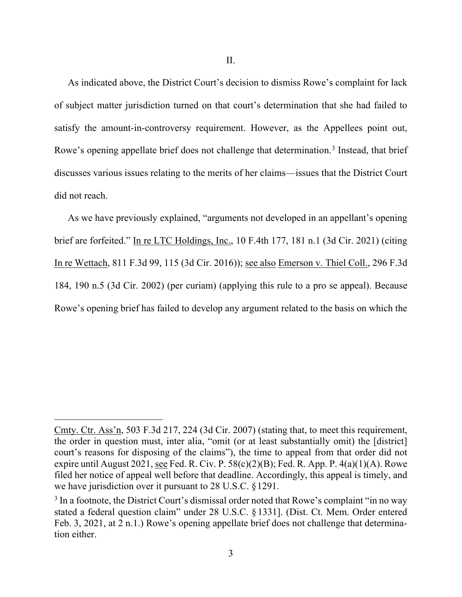As indicated above, the District Court's decision to dismiss Rowe's complaint for lack of subject matter jurisdiction turned on that court's determination that she had failed to satisfy the amount-in-controversy requirement. However, as the Appellees point out, Rowe's opening appellate brief does not challenge that determination.<sup>3</sup> Instead, that brief discusses various issues relating to the merits of her claims—issues that the District Court did not reach.

As we have previously explained, "arguments not developed in an appellant's opening brief are forfeited." In re LTC Holdings, Inc., 10 F.4th 177, 181 n.1 (3d Cir. 2021) (citing In re Wettach, 811 F.3d 99, 115 (3d Cir. 2016)); see also Emerson v. Thiel Coll., 296 F.3d 184, 190 n.5 (3d Cir. 2002) (per curiam) (applying this rule to a pro se appeal). Because Rowe's opening brief has failed to develop any argument related to the basis on which the

Cmty. Ctr. Ass'n, 503 F.3d 217, 224 (3d Cir. 2007) (stating that, to meet this requirement, the order in question must, inter alia, "omit (or at least substantially omit) the [district] court's reasons for disposing of the claims"), the time to appeal from that order did not expire until August 2021, see Fed. R. Civ. P.  $58(c)(2)(B)$ ; Fed. R. App. P.  $4(a)(1)(A)$ . Rowe filed her notice of appeal well before that deadline. Accordingly, this appeal is timely, and we have jurisdiction over it pursuant to 28 U.S.C. §1291.

 $3$  In a footnote, the District Court's dismissal order noted that Rowe's complaint "in no way" stated a federal question claim" under 28 U.S.C. § 1331]. (Dist. Ct. Mem. Order entered Feb. 3, 2021, at 2 n.1.) Rowe's opening appellate brief does not challenge that determination either.